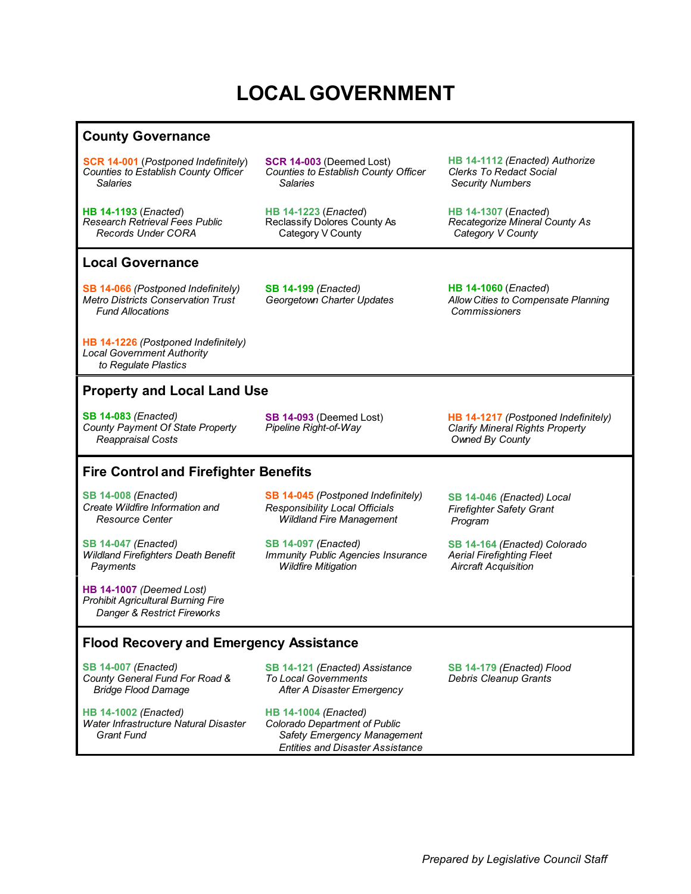# **LOCAL GOVERNMENT**

#### **County Governance**

**[SCR 14-001](#page-1-0)** (*Postponed Indefinitely*) *Counties to Establish County Officer Salaries*

**[SCR 14-003](#page-1-0)** (Deemed Lost) *Counties to Establish County Officer Salaries*

**[HB 14-1193](#page-1-0)** (*Enacted*) *Research Retrieval Fees Public Records Under CORA*

**[HB 14-1223](#page-1-0)** (*Enacted*) Reclassify Dolores County As Category V County

**[HB 14-1112](#page-1-0)** *(Enacted) Authorize Clerks To Redact Social Security Numbers*

**[HB 14-1307](#page-1-0)** (*Enacted*) *Recategorize Mineral County As Category V County*

#### **Local Governance**

**[SB 14-066](#page-1-0)** *(Postponed Indefinitely) Metro Districts Conservation Trust Fund Allocations*

**[SB 14-199](#page-1-0)** *(Enacted) Georgetown Charter Updates* **[HB 14-1060](#page-1-0)** (*Enacted*) *Allow Cities to Compensate Planning Commissioners*

**[HB 14-1226](#page-2-0)** *(Postponed Indefinitely) Local Government Authority to Regulate Plastics*

## **Property and Local Land Use**

**[SB 14-083](#page-2-0)** *(Enacted) County Payment Of State Property Reappraisal Costs*

**[SB 14-093](#page-2-0)** (Deemed Lost) *Pipeline Right-of-Way*

# **Fire Control and Firefighter Benefits**

**[SB 14-008](#page-3-0)** *(Enacted) Create Wildfire Information and Resource Center*

**[SB 14-047](#page-2-0)** *(Enacted) Wildland Firefighters Death Benefit Payments*

**[HB 14-1007](#page-3-0)** *(Deemed Lost) Prohibit Agricultural Burning Fire Danger & Restrict Fireworks*

**[SB 14-045](#page-3-0)** *(Postponed Indefinitely) Responsibility Local Officials Wildland Fire Management*

**[SB 14-097](#page-2-0)** *(Enacted) Immunity Public Agencies Insurance Wildfire Mitigation*

**[HB 14-1217](#page-2-0)** *(Postponed Indefinitely) Clarify Mineral Rights Property Owned By County*

**[SB 14-046](#page-2-0)** *(Enacted) Local Firefighter Safety Grant Program*

**[SB 14-164](#page-3-0)** *(Enacted) Colorado Aerial Firefighting Fleet Aircraft Acquisition* 

## **Flood Recovery and Emergency Assistance**

**[SB 14-007](#page-4-0)** *(Enacted) County General Fund For Road & Bridge Flood Damage*

**[HB 14-1002](#page-3-0)** *(Enacted) Water Infrastructure Natural Disaster Grant Fund*

**[SB 14-121](#page-4-0)** *(Enacted) Assistance To Local Governments After A Disaster Emergency*

**[HB 14-1004](#page-3-0)** *(Enacted) Colorado Department of Public Safety Emergency Management Entities and Disaster Assistance*

**[SB 14-179](#page-3-0)** *(Enacted) Flood Debris Cleanup Grants*

*Prepared by Legislative Council Staff*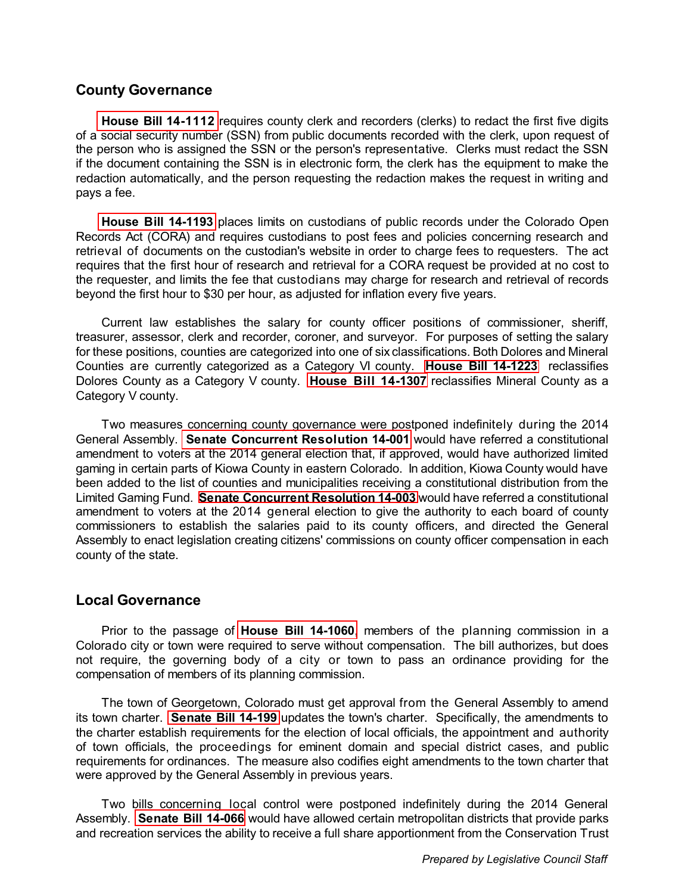#### <span id="page-1-0"></span>**County Governance**

**[House Bill 14-1112](http://www.leg.state.co.us/Clics/CLICS2014A/csl.nsf/fsbillcont3/ADB067827243BC2587257C360078D88D?Open&file=1112_enr.pdf)** requires county clerk and recorders (clerks) to redact the first five digits of a social security number (SSN) from public documents recorded with the clerk, upon request of the person who is assigned the SSN or the person's representative. Clerks must redact the SSN if the document containing the SSN is in electronic form, the clerk has the equipment to make the redaction automatically, and the person requesting the redaction makes the request in writing and pays a fee.

**[House Bill 14-1193](http://www.leg.state.co.us/Clics/CLICS2014A/csl.nsf/fsbillcont3/8DE89ABEFA36240887257C300006B2DF?Open&file=1193_enr.pdf)** places limits on custodians of public records under the Colorado Open Records Act (CORA) and requires custodians to post fees and policies concerning research and retrieval of documents on the custodian's website in order to charge fees to requesters. The act requires that the first hour of research and retrieval for a CORA request be provided at no cost to the requester, and limits the fee that custodians may charge for research and retrieval of records beyond the first hour to \$30 per hour, as adjusted for inflation every five years.

Current law establishes the salary for county officer positions of commissioner, sheriff, treasurer, assessor, clerk and recorder, coroner, and surveyor. For purposes of setting the salary for these positions, counties are categorized into one of six classifications. Both Dolores and Mineral Counties are currently categorized as a Category VI county. **[House Bill 14-1223](http://www.leg.state.co.us/Clics/CLICS2014A/csl.nsf/fsbillcont3/01980C09F2E24F4587257C300006E1FA?Open&file=1223_enr.pdf)** reclassifies Dolores County as a Category V county. **[House Bill 14-1307](http://www.leg.state.co.us/Clics/CLICS2014A/csl.nsf/fsbillcont3/B1B2768F8B0A811B87257C8D0058F2DA?Open&file=1307_enr.pdf)** reclassifies Mineral County as a Category V county.

Two measures concerning county governance were postponed indefinitely during the 2014 General Assembly. **[Senate Concurrent Resolution 14-001](http://www.leg.state.co.us/Clics/CLICS2014A/csl.nsf/fsbillcont3/9B0C054C495CC02987257C7E00020B48?Open&file=SCR001_01.pdf)** would have referred a constitutional amendment to voters at the 2014 general election that, if approved, would have authorized limited gaming in certain parts of Kiowa County in eastern Colorado. In addition, Kiowa County would have been added to the list of counties and municipalities receiving a constitutional distribution from the Limited Gaming Fund. **[Senate Concurrent Resolution 14-003](http://www.leg.state.co.us/Clics/CLICS2014A/csl.nsf/fsbillcont3/2EA44E911C6DFA6C87257CBA0053D7F0?Open&file=SCR003_en2.pdf)** would have referred a constitutional amendment to voters at the 2014 general election to give the authority to each board of county commissioners to establish the salaries paid to its county officers, and directed the General Assembly to enact legislation creating citizens' commissions on county officer compensation in each county of the state.

#### **Local Governance**

Prior to the passage of **[House Bill 14-1060](http://www.leg.state.co.us/Clics/CLICS2014A/csl.nsf/fsbillcont3/F9D6494C3D432F1887257C3000064787?Open&file=1060_enr.pdf)**, members of the planning commission in a Colorado city or town were required to serve without compensation. The bill authorizes, but does not require, the governing body of a city or town to pass an ordinance providing for the compensation of members of its planning commission.

The town of Georgetown, Colorado must get approval from the General Assembly to amend its town charter. **[Senate Bill 14-199](http://www.leg.state.co.us/Clics/CLICS2014A/csl.nsf/fsbillcont3/D052760A7E51CF6887257CA9004FF020?Open&file=199_enr.pdf)** updates the town's charter. Specifically, the amendments to the charter establish requirements for the election of local officials, the appointment and authority of town officials, the proceedings for eminent domain and special district cases, and public requirements for ordinances. The measure also codifies eight amendments to the town charter that were approved by the General Assembly in previous years.

Two bills concerning local control were postponed indefinitely during the 2014 General Assembly. **[Senate Bill 14-066](http://www.leg.state.co.us/Clics/CLICS2014A/csl.nsf/fsbillcont3/944C1F9D5A6C92C887257C300007145C?Open&file=066_01.pdf)** would have allowed certain metropolitan districts that provide parks and recreation services the ability to receive a full share apportionment from the Conservation Trust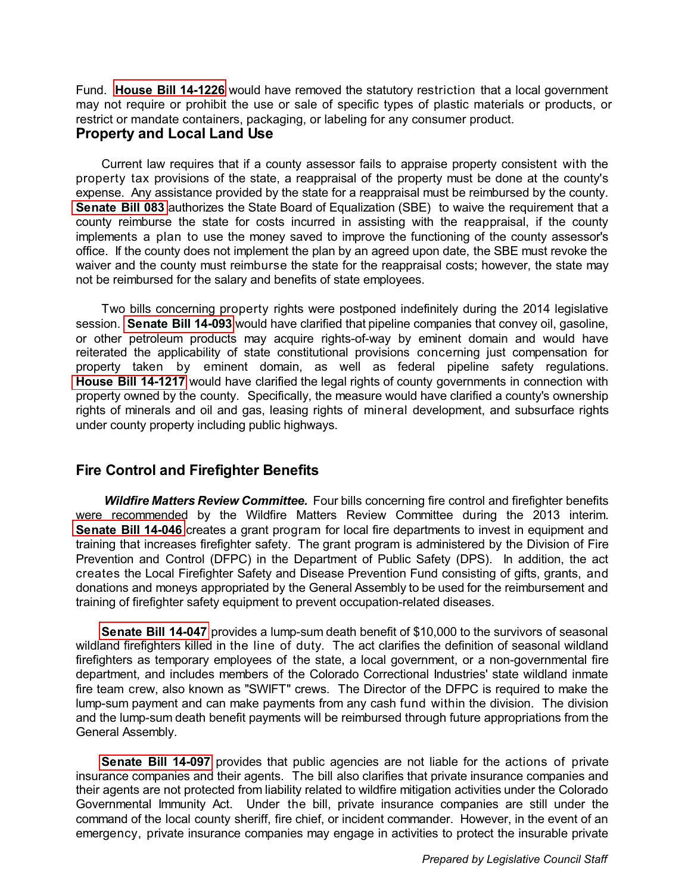<span id="page-2-0"></span>Fund. **[House Bill 14-1226](http://www.leg.state.co.us/Clics/CLICS2014A/csl.nsf/fsbillcont3/C4FC4B121753672887257C5C0076D239?Open&file=1226_01.pdf)** would have removed the statutory restriction that a local government may not require or prohibit the use or sale of specific types of plastic materials or products, or restrict or mandate containers, packaging, or labeling for any consumer product.

# **Property and Local Land Use**

Current law requires that if a county assessor fails to appraise property consistent with the property tax provisions of the state, a reappraisal of the property must be done at the county's expense. Any assistance provided by the state for a reappraisal must be reimbursed by the county. **[Senate Bill 083](http://www.leg.state.co.us/Clics/CLICS2014A/csl.nsf/fsbillcont3/FBD7B99069C4BD7787257C360078D966?Open&file=083_enr.pdf)** authorizes the State Board of Equalization (SBE) to waive the requirement that a county reimburse the state for costs incurred in assisting with the reappraisal, if the county implements a plan to use the money saved to improve the functioning of the county assessor's office. If the county does not implement the plan by an agreed upon date, the SBE must revoke the waiver and the county must reimburse the state for the reappraisal costs; however, the state may not be reimbursed for the salary and benefits of state employees.

Two bills concerning property rights were postponed indefinitely during the 2014 legislative session. **[Senate Bill 14-093](http://www.leg.state.co.us/Clics/CLICS2014A/csl.nsf/fsbillcont3/E4292BBC297E713687257C360075F8F5?Open&file=093_ren.pdf)** would have clarified that pipeline companies that convey oil, gasoline, or other petroleum products may acquire rights-of-way by eminent domain and would have reiterated the applicability of state constitutional provisions concerning just compensation for property taken by eminent domain, as well as federal pipeline safety regulations. **[House Bill 14-1217](http://www.leg.state.co.us/Clics/CLICS2014A/csl.nsf/fsbillcont3/A7BA7D4E94C8BF0787257C60007BE6EC?Open&file=1217_01.pdf)** would have clarified the legal rights of county governments in connection with property owned by the county. Specifically, the measure would have clarified a county's ownership rights of minerals and oil and gas, leasing rights of mineral development, and subsurface rights under county property including public highways.

## **Fire Control and Firefighter Benefits**

*Wildfire Matters Review Committee.* Four bills concerning fire control and firefighter benefits were recommended by the Wildfire Matters Review Committee during the 2013 interim. **[Senate Bill 14-046](http://www.leg.state.co.us/Clics/CLICS2014A/csl.nsf/fsbillcont3/FABE6EA570FB2F9887257C3000063389?Open&file=046_enr.pdf)** creates a grant program for local fire departments to invest in equipment and training that increases firefighter safety. The grant program is administered by the Division of Fire Prevention and Control (DFPC) in the Department of Public Safety (DPS). In addition, the act creates the Local Firefighter Safety and Disease Prevention Fund consisting of gifts, grants, and donations and moneys appropriated by the General Assembly to be used for the reimbursement and training of firefighter safety equipment to prevent occupation-related diseases.

**[Senate Bill 14-047](http://www.leg.state.co.us/Clics/CLICS2014A/csl.nsf/fsbillcont3/A1B0BCF15746AF2787257C300006087B?Open&file=047_enr.pdf)** provides a lump-sum death benefit of \$10,000 to the survivors of seasonal wildland firefighters killed in the line of duty. The act clarifies the definition of seasonal wildland firefighters as temporary employees of the state, a local government, or a non-governmental fire department, and includes members of the Colorado Correctional Industries' state wildland inmate fire team crew, also known as "SWIFT" crews. The Director of the DFPC is required to make the lump-sum payment and can make payments from any cash fund within the division. The division and the lump-sum death benefit payments will be reimbursed through future appropriations from the General Assembly.

**[Senate Bill 14-097](http://www.leg.state.co.us/Clics/CLICS2014A/csl.nsf/fsbillcont3/442D501A9A2404A187257C3000060A94?Open&file=097_enr.pdf)** provides that public agencies are not liable for the actions of private insurance companies and their agents. The bill also clarifies that private insurance companies and their agents are not protected from liability related to wildfire mitigation activities under the Colorado Governmental Immunity Act. Under the bill, private insurance companies are still under the command of the local county sheriff, fire chief, or incident commander. However, in the event of an emergency, private insurance companies may engage in activities to protect the insurable private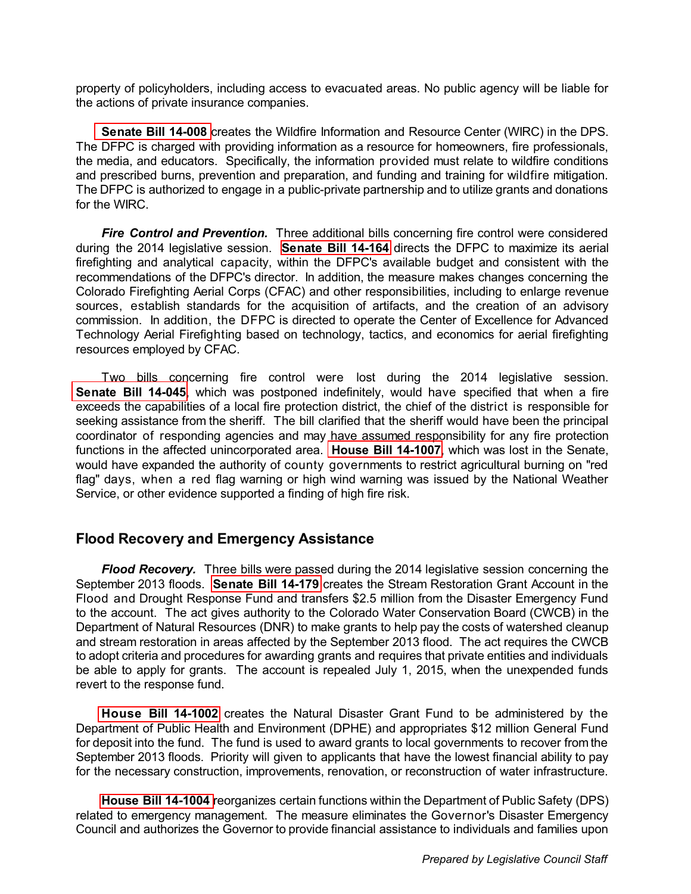<span id="page-3-0"></span>property of policyholders, including access to evacuated areas. No public agency will be liable for the actions of private insurance companies.

**[Senate Bill 14-008](http://www.leg.state.co.us/Clics/CLICS2014A/csl.nsf/fsbillcont3/7D7A134964F613A687257C30000645F0?Open&file=008_enr.pdf)** creates the Wildfire Information and Resource Center (WIRC) in the DPS. The DFPC is charged with providing information as a resource for homeowners, fire professionals, the media, and educators. Specifically, the information provided must relate to wildfire conditions and prescribed burns, prevention and preparation, and funding and training for wildfire mitigation. The DFPC is authorized to engage in a public-private partnership and to utilize grants and donations for the WIRC.

**Fire Control and Prevention.** Three additional bills concerning fire control were considered during the 2014 legislative session. **[Senate Bill 14-164](http://www.leg.state.co.us/Clics/CLICS2014A/csl.nsf/fsbillcont3/594FB40259D8DE1C87257C300005E7A5?Open&file=164_enr.pdf)** directs the DFPC to maximize its aerial firefighting and analytical capacity, within the DFPC's available budget and consistent with the recommendations of the DFPC's director. In addition, the measure makes changes concerning the Colorado Firefighting Aerial Corps (CFAC) and other responsibilities, including to enlarge revenue sources, establish standards for the acquisition of artifacts, and the creation of an advisory commission. In addition, the DFPC is directed to operate the Center of Excellence for Advanced Technology Aerial Firefighting based on technology, tactics, and economics for aerial firefighting resources employed by CFAC.

Two bills concerning fire control were lost during the 2014 legislative session. **[Senate Bill 14-045](http://www.leg.state.co.us/Clics/CLICS2014A/csl.nsf/fsbillcont3/9B55497AC9C080BA87257C3600754301?Open&file=045_01.pdf)**, which was postponed indefinitely, would have specified that when a fire exceeds the capabilities of a local fire protection district, the chief of the district is responsible for seeking assistance from the sheriff. The bill clarified that the sheriff would have been the principal coordinator of responding agencies and may have assumed responsibility for any fire protection functions in the affected unincorporated area. **[House Bill 14-1007](http://www.leg.state.co.us/Clics/CLICS2014A/csl.nsf/fsbillcont3/103CC06E530E2FC087257C3000063028?Open&file=1007_rev.pdf)**, which was lost in the Senate, would have expanded the authority of county governments to restrict agricultural burning on "red flag" days, when a red flag warning or high wind warning was issued by the National Weather Service, or other evidence supported a finding of high fire risk.

## **Flood Recovery and Emergency Assistance**

*Flood Recovery.* Three bills were passed during the 2014 legislative session concerning the September 2013 floods. **[Senate Bill 14-179](http://www.leg.state.co.us/Clics/CLICS2014A/csl.nsf/fsbillcont3/E18879A6BA98149587257C78005E7A6C?Open&file=179_enr.pdf)** creates the Stream Restoration Grant Account in the Flood and Drought Response Fund and transfers \$2.5 million from the Disaster Emergency Fund to the account. The act gives authority to the Colorado Water Conservation Board (CWCB) in the Department of Natural Resources (DNR) to make grants to help pay the costs of watershed cleanup and stream restoration in areas affected by the September 2013 flood. The act requires the CWCB to adopt criteria and procedures for awarding grants and requires that private entities and individuals be able to apply for grants. The account is repealed July 1, 2015, when the unexpended funds revert to the response fund.

**[House Bill 14-1002](http://www.leg.state.co.us/Clics/CLICS2014A/csl.nsf/fsbillcont3/B8AE4550353581B287257C550066B6D5?Open&file=1002_enr.pdf)** creates the Natural Disaster Grant Fund to be administered by the Department of Public Health and Environment (DPHE) and appropriates \$12 million General Fund for deposit into the fund. The fund is used to award grants to local governments to recover from the September 2013 floods. Priority will given to applicants that have the lowest financial ability to pay for the necessary construction, improvements, renovation, or reconstruction of water infrastructure.

**[House Bill 14-1004](http://www.leg.state.co.us/Clics/CLICS2014A/csl.nsf/fsbillcont3/6F69718D526F28C087257C3600755FD8?Open&file=1004_enr.pdf)** reorganizes certain functions within the Department of Public Safety (DPS) related to emergency management. The measure eliminates the Governor's Disaster Emergency Council and authorizes the Governor to provide financial assistance to individuals and families upon